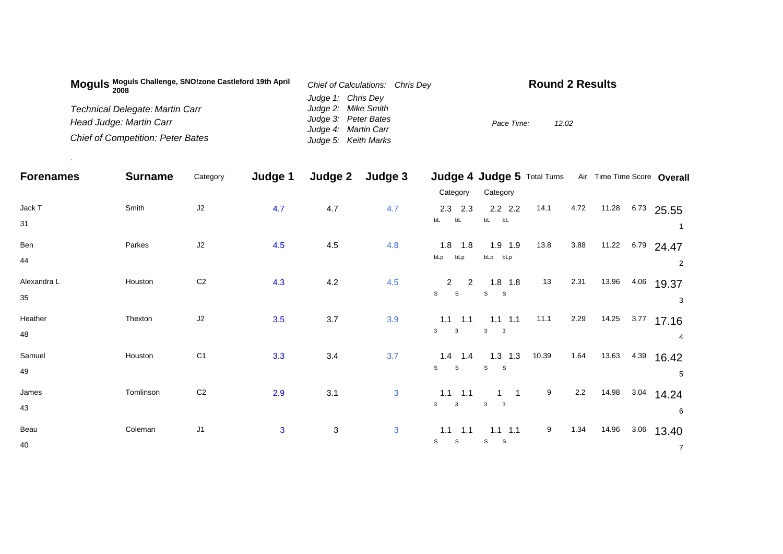| Moguls Moguls Challenge, SNO!zone Castleford 19th April<br>2008 | Chief of Calculations: Chris Dev | <b>Round 2 Results</b> |  |  |  |  |
|-----------------------------------------------------------------|----------------------------------|------------------------|--|--|--|--|
|                                                                 | Judge 1: Chris Dey               |                        |  |  |  |  |
| <b>Technical Delegate: Martin Carr</b>                          | Judge 2: Mike Smith              |                        |  |  |  |  |
| Head Judge: Martin Carr                                         | Judge 3: Peter Bates             | Pace Time:<br>12.02    |  |  |  |  |
|                                                                 | Judge 4: Martin Carr             |                        |  |  |  |  |
| <b>Chief of Competition: Peter Bates</b>                        | Judge 5: Keith Marks             |                        |  |  |  |  |

.

| <b>Forenames</b> | <b>Surname</b> | Category       | Judge 1      | Judge 2 | Judge 3      |                               |                                                                        |       |         | Judge 4 Judge 5 Total Turns Air Time Time Score Overall |      |                  |  |
|------------------|----------------|----------------|--------------|---------|--------------|-------------------------------|------------------------------------------------------------------------|-------|---------|---------------------------------------------------------|------|------------------|--|
|                  |                |                |              |         |              | Category                      | Category                                                               |       |         |                                                         |      |                  |  |
| Jack T           | Smith          | $\sf J2$       | 4.7          | 4.7     | 4.7          | $2.3$ 2.3                     | $2.2$ $2.2$                                                            | 14.1  | 4.72    |                                                         |      | 11.28 6.73 25.55 |  |
| 31               |                |                |              |         |              | bL<br>bL                      | $\begin{matrix} bL \end{matrix} \qquad \begin{matrix} bL \end{matrix}$ |       |         |                                                         |      |                  |  |
| Ben              | Parkes         | J2             | 4.5          | 4.5     | 4.8          | $1.8$ 1.8                     | $1.9$ 1.9                                                              | 13.8  | 3.88    | 11.22                                                   |      | $6.79$ 24.47     |  |
| 44               |                |                |              |         |              | bLp<br>bLp                    | bLp bLp                                                                |       |         |                                                         |      | 2                |  |
| Alexandra L      | Houston        | C <sub>2</sub> | 4.3          | 4.2     | 4.5          | $2^{\circ}$<br>$\overline{2}$ | $1.8$ 1.8                                                              | 13    | 2.31    | 13.96                                                   |      | 4.06 19.37       |  |
| 35               |                |                |              |         |              | $\mathsf S$<br>$\mathsf S$    | $\mathbb S$<br>$\mathbf{s}$                                            |       |         |                                                         |      | 3                |  |
| Heather          | Thexton        | J2             | 3.5          | 3.7     | 3.9          | $1.1 \quad 1.1$               | $1.1$ $1.1$                                                            | 11.1  | 2.29    | 14.25                                                   |      | $3.77$ 17.16     |  |
| 48               |                |                |              |         |              | $\mathbf{3}$<br>$\mathbf{3}$  | 3<br>$\overline{\phantom{a}}$                                          |       |         |                                                         |      | 4                |  |
| Samuel           | Houston        | C <sub>1</sub> | 3.3          | 3.4     | 3.7          | $1.4$ 1.4                     | $1.3$ $1.3$                                                            | 10.39 | 1.64    | 13.63                                                   |      | $4.39$ 16.42     |  |
| 49               |                |                |              |         |              | $\mathsf{s}$<br>S             | S S                                                                    |       |         |                                                         |      | 5                |  |
| James            | Tomlinson      | C <sub>2</sub> | 2.9          | 3.1     | $\mathbf{3}$ | 1.1<br>1.1                    | $1 \quad 1$                                                            | 9     | $2.2\,$ | 14.98                                                   |      | $3.04$ 14.24     |  |
| 43               |                |                |              |         |              | $\mathbf{3}$<br>$\mathbf{3}$  | $\overline{\mathbf{3}}$<br>$\mathbf{3}$                                |       |         |                                                         |      | 6                |  |
| Beau             | Coleman        | J1             | $\mathbf{3}$ | 3       | $\mathbf{3}$ | $1.1 \quad 1.1$               | $1.1$ 1.1                                                              | 9     | 1.34    | 14.96                                                   | 3.06 | 13.40            |  |
| 40               |                |                |              |         |              | S<br>S                        | S<br>S                                                                 |       |         |                                                         |      | $\overline{7}$   |  |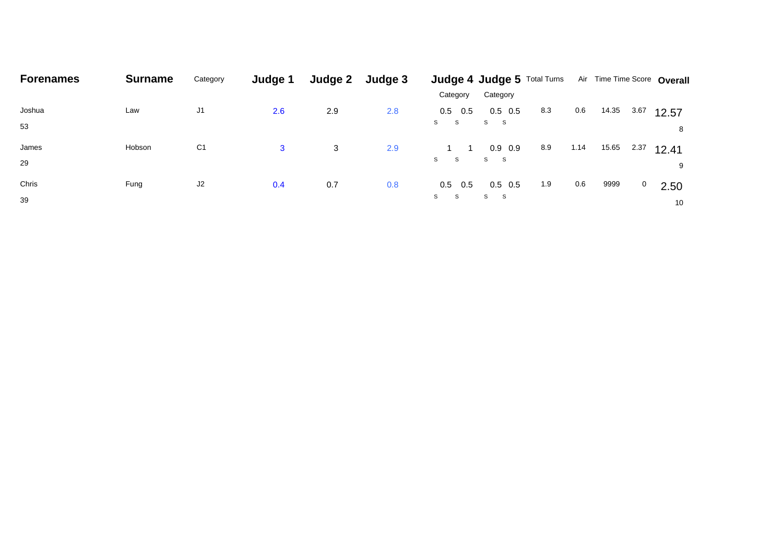| <b>Forenames</b> | <b>Surname</b> | Category       | Judge 1 | Judge 2 | Judge 3 | Judge 4 Judge 5 Total Turns |                |     |      | Air Time Time Score Overall |      |       |
|------------------|----------------|----------------|---------|---------|---------|-----------------------------|----------------|-----|------|-----------------------------|------|-------|
|                  |                |                |         |         |         | Category                    | Category       |     |      |                             |      |       |
| Joshua           | Law            | J1             | 2.6     | 2.9     | 2.8     | $0.5\quad 0.5$              | $0.5\quad 0.5$ | 8.3 | 0.6  | 14.35                       | 3.67 | 12.57 |
| 53               |                |                |         |         |         | S S                         | S S            |     |      |                             |      | 8     |
| James            | Hobson         | C <sub>1</sub> | 3       | 3       | 2.9     | -1                          | $0.9\quad 0.9$ | 8.9 | 1.14 | 15.65                       | 2.37 | 12.41 |
| 29               |                |                |         |         |         | S S                         | S S            |     |      |                             |      | 9     |
| Chris            | Fung           | J2             | 0.4     | 0.7     | 0.8     | $0.5$ 0.5                   | $0.5$ 0.5      | 1.9 | 0.6  | 9999                        | 0    | 2.50  |
| 39               |                |                |         |         |         | S.<br><b>S</b>              | S S            |     |      |                             |      | 10    |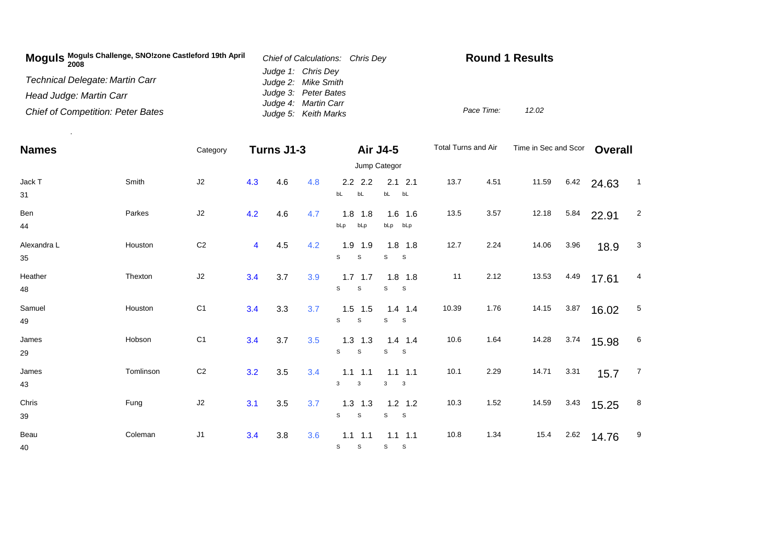| Moguls Moguls Challenge, SNO!zone Castleford 19th April<br>2008 | Chief of Calculations: Chris Dev | <b>Round 1 Results</b> |  |  |  |  |
|-----------------------------------------------------------------|----------------------------------|------------------------|--|--|--|--|
|                                                                 | Judge 1: Chris Dey               |                        |  |  |  |  |
| Technical Delegate: Martin Carr                                 | Judge 2: Mike Smith              |                        |  |  |  |  |
| Head Judge: Martin Carr                                         | Judge 3: Peter Bates             |                        |  |  |  |  |
|                                                                 | Judge 4: Martin Carr             |                        |  |  |  |  |
| <b>Chief of Competition: Peter Bates</b>                        | Judge 5: Keith Marks             | Pace Time:<br>12.02    |  |  |  |  |

.

| <b>Names</b> |           | Category       | Turns J1-3 |         |     |                  | Air J4-5                                | Total Turns and Air |      | Time in Sec and Scor |      | <b>Overall</b> |                |
|--------------|-----------|----------------|------------|---------|-----|------------------|-----------------------------------------|---------------------|------|----------------------|------|----------------|----------------|
|              |           | Jump Categor   |            |         |     |                  |                                         |                     |      |                      |      |                |                |
| Jack T       | Smith     | J2             | 4.3        | 4.6     | 4.8 | $2.2$ 2.2        | $2.1$ 2.1                               | 13.7                | 4.51 | 11.59                | 6.42 | 24.63          | $\overline{1}$ |
| 31           |           |                |            |         |     | bL<br>bL         | bL bL                                   |                     |      |                      |      |                |                |
| Ben          | Parkes    | J2             | 4.2        | 4.6     | 4.7 | $1.8$ 1.8        | $1.6$ 1.6                               | 13.5                | 3.57 | 12.18                | 5.84 | 22.91          | $\overline{a}$ |
| 44           |           |                |            |         |     | bLp<br>bLp       | bLp bLp                                 |                     |      |                      |      |                |                |
| Alexandra L  | Houston   | C <sub>2</sub> | 4          | 4.5     | 4.2 | $1.9$ 1.9        | $1.8$ 1.8                               | 12.7                | 2.24 | 14.06                | 3.96 | 18.9           | $\mathbf{3}$   |
| 35           |           |                |            |         |     | S<br>S           | S<br>$\mathbf{s}$                       |                     |      |                      |      |                |                |
| Heather      | Thexton   | J2             | 3.4        | 3.7     | 3.9 | $1.7$ 1.7        | $1.8$ 1.8                               | 11                  | 2.12 | 13.53                | 4.49 | 17.61          | 4              |
| 48           |           |                |            |         |     | S<br>$\mathsf S$ | S<br>S                                  |                     |      |                      |      |                |                |
| Samuel       | Houston   | C <sub>1</sub> | 3.4        | 3.3     | 3.7 | $1.5$ 1.5        | $1.4$ 1.4                               | 10.39               | 1.76 | 14.15                | 3.87 | 16.02          | $\sqrt{5}$     |
| 49           |           |                |            |         |     | S<br>S           | S<br>S.                                 |                     |      |                      |      |                |                |
| James        | Hobson    | C <sub>1</sub> | 3.4        | 3.7     | 3.5 | $1.3$ 1.3        | $1.4$ 1.4                               | 10.6                | 1.64 | 14.28                | 3.74 | 15.98          | 6              |
| 29           |           |                |            |         |     | s<br>S           | S<br>$\mathbf{s}$                       |                     |      |                      |      |                |                |
| James        | Tomlinson | C <sub>2</sub> | 3.2        | 3.5     | 3.4 | $1.1$ 1.1        | $1.1$ 1.1                               | 10.1                | 2.29 | 14.71                | 3.31 | 15.7           | $\overline{7}$ |
| 43           |           |                |            |         |     | 3<br>3           | $\mathbf{3}$<br>$\overline{\mathbf{3}}$ |                     |      |                      |      |                |                |
| Chris        | Fung      | J2             | 3.1        | $3.5\,$ | 3.7 | $1.3$ 1.3        | $1.2$ 1.2                               | 10.3                | 1.52 | 14.59                | 3.43 | 15.25          | 8              |
| 39           |           |                |            |         |     | $\mathbb S$<br>s | S<br>S                                  |                     |      |                      |      |                |                |
| Beau         | Coleman   | J1             | 3.4        | 3.8     | 3.6 | $1.1$ $1.1$      | $1.1$ 1.1                               | 10.8                | 1.34 | 15.4                 | 2.62 | 14.76          | 9              |
| 40           |           |                |            |         |     | S<br>S           | S<br>S                                  |                     |      |                      |      |                |                |